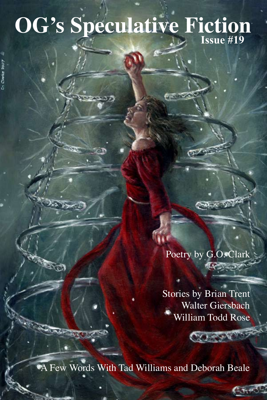# **OG's Speculative Fiction Issue #19**

あっぱっとう

**ACT** 

Poetry by G.O. Clark 1422 58

 $\delta \times \delta$ 

Stories by Brian Trent Walter Giersbach William Todd Rose

لا و جو و *پ* 

A Few Words With Tad Williams and Deborah Beale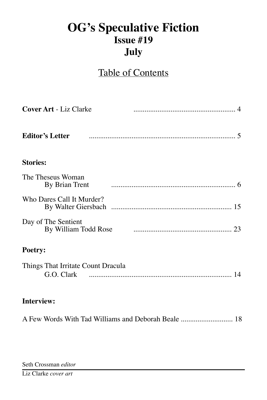# **OG's Speculative Fiction Issue #19 July**

## Table of Contents

| <b>Cover Art - Liz Clarke</b>       |                                           |
|-------------------------------------|-------------------------------------------|
| <b>Editor's Letter</b>              |                                           |
| <b>Stories:</b>                     |                                           |
| The Theseus Woman<br>By Brian Trent |                                           |
| Who Dares Call It Murder?           |                                           |
| Day of The Sentient                 | By William Todd Rose manufacturers and 23 |
| Poetry:                             |                                           |
| Things That Irritate Count Dracula  |                                           |
| <b>Interview:</b>                   |                                           |
|                                     |                                           |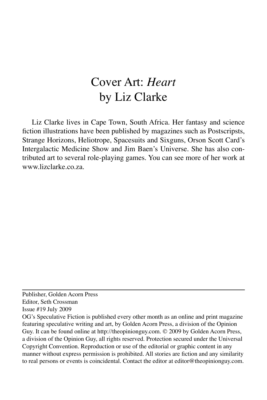# Cover Art: *Heart* by Liz Clarke

Liz Clarke lives in Cape Town, South Africa. Her fantasy and science fiction illustrations have been published by magazines such as Postscripsts, Strange Horizons, Heliotrope, Spacesuits and Sixguns, Orson Scott Card's Intergalactic Medicine Show and Jim Baen's Universe. She has also contributed art to several role-playing games. You can see more of her work at www.lizclarke.co.za.

Publisher, Golden Acorn Press Editor, Seth Crossman

Issue #19 July 2009

OG's Speculative Fiction is published every other month as an online and print magazine featuring speculative writing and art, by Golden Acorn Press, a division of the Opinion Guy. It can be found online at http://theopinionguy.com. © 2009 by Golden Acorn Press, a division of the Opinion Guy, all rights reserved. Protection secured under the Universal Copyright Convention. Reproduction or use of the editorial or graphic content in any manner without express permission is prohibited. All stories are fiction and any similarity to real persons or events is coincidental. Contact the editor at editor@theopinionguy.com.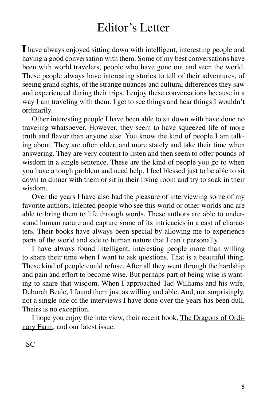# Editor's Letter

**I** have always enjoyed sitting down with intelligent, interesting people and having a good conversation with them. Some of my best conversations have been with world travelers, people who have gone out and seen the world. These people always have interesting stories to tell of their adventures, of seeing grand sights, of the strange nuances and cultural differences they saw and experienced during their trips. I enjoy these conversations because in a way I am traveling with them. I get to see things and hear things I wouldn't ordinarily.

Other interesting people I have been able to sit down with have done no traveling whatsoever. However, they seem to have squeezed life of more truth and flavor than anyone else. You know the kind of people I am talking about. They are often older, and more stately and take their time when answering. They are very content to listen and then seem to offer pounds of wisdom in a single sentence. These are the kind of people you go to when you have a tough problem and need help. I feel blessed just to be able to sit down to dinner with them or sit in their living room and try to soak in their wisdom.

Over the years I have also had the pleasure of interviewing some of my favorite authors, talented people who see this world or other worlds and are able to bring them to life through words. These authors are able to understand human nature and capture some of its intricacies in a cast of characters. Their books have always been special by allowing me to experience parts of the world and side to human nature that I can't personally.

I have always found intelligent, interesting people more than willing to share their time when I want to ask questions. That is a beautiful thing. These kind of people could refuse. After all they went through the hardship and pain and effort to become wise. But perhaps part of being wise is wanting to share that wisdom. When I approached Tad Williams and his wife, Deborah Beale, I found them just as willing and able. And, not surprisingly, not a single one of the interviews I have done over the years has been dull. Theirs is no exception.

I hope you enjoy the interview, their recent book, The Dragons of Ordinary Farm, and our latest issue.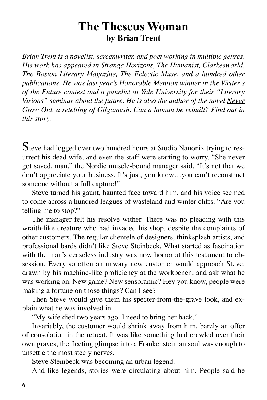## **The Theseus Woman by Brian Trent**

*Brian Trent is a novelist, screenwriter, and poet working in multiple genres. His work has appeared in Strange Horizons, The Humanist, Clarkesworld, The Boston Literary Magazine, The Eclectic Muse, and a hundred other publications. He was last year's Honorable Mention winner in the Writer's of the Future contest and a panelist at Yale University for their "Literary Visions" seminar about the future. He is also the author of the novel Never Grow Old, a retelling of Gilgamesh. Can a human be rebuilt? Find out in this story.*

Steve had logged over two hundred hours at Studio Nanonix trying to resurrect his dead wife, and even the staff were starting to worry. "She never got saved, man," the Nordic muscle-bound manager said. "It's not that we don't appreciate your business. It's just, you know…you can't reconstruct someone without a full capture!"

Steve turned his gaunt, haunted face toward him, and his voice seemed to come across a hundred leagues of wasteland and winter cliffs. "Are you telling me to stop?"

The manager felt his resolve wither. There was no pleading with this wraith-like creature who had invaded his shop, despite the complaints of other customers. The regular clientele of designers, thinksplash artists, and professional bards didn't like Steve Steinbeck. What started as fascination with the man's ceaseless industry was now horror at this testament to obsession. Every so often an unwary new customer would approach Steve, drawn by his machine-like proficiency at the workbench, and ask what he was working on. New game? New sensoramic? Hey you know, people were making a fortune on those things? Can I see?

Then Steve would give them his specter-from-the-grave look, and explain what he was involved in.

"My wife died two years ago. I need to bring her back."

Invariably, the customer would shrink away from him, barely an offer of consolation in the retreat. It was like something had crawled over their own graves; the fleeting glimpse into a Frankensteinian soul was enough to unsettle the most steely nerves.

Steve Steinbeck was becoming an urban legend.

And like legends, stories were circulating about him. People said he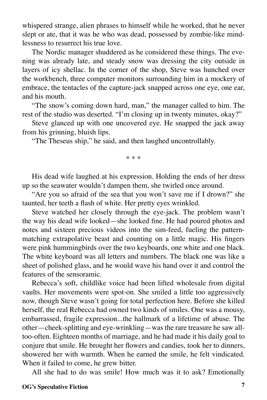whispered strange, alien phrases to himself while he worked, that he never slept or ate, that it was he who was dead, possessed by zombie-like mindlessness to resurrect his true love.

The Nordic manager shuddered as he considered these things. The evening was already late, and steady snow was dressing the city outside in layers of icy shellac. In the corner of the shop, Steve was hunched over the workbench, three computer monitors surrounding him in a mockery of embrace, the tentacles of the capture-jack snapped across one eye, one ear, and his mouth.

"The snow's coming down hard, man," the manager called to him. The rest of the studio was deserted. "I'm closing up in twenty minutes, okay?"

Steve glanced up with one uncovered eye. He snapped the jack away from his grinning, bluish lips.

"The Theseus ship," he said, and then laughed uncontrollably.

\* \* \*

His dead wife laughed at his expression. Holding the ends of her dress up so the seawater wouldn't dampen them, she twirled once around.

"Are you so afraid of the sea that you won't save me if I drown?" she taunted, her teeth a flash of white. Her pretty eyes wrinkled.

Steve watched her closely through the eye-jack. The problem wasn't the way his dead wife looked—she looked fine. He had poured photos and notes and sixteen precious videos into the sim-feed, fueling the patternmatching extrapolative beast and counting on a little magic. His fingers were pink hummingbirds over the two keyboards, one white and one black. The white keyboard was all letters and numbers. The black one was like a sheet of polished glass, and he would wave his hand over it and control the features of the sensoramic.

Rebecca's soft, childlike voice had been lifted wholesale from digital vaults. Her movements were spot-on. She smiled a little too aggressively now, though Steve wasn't going for total perfection here. Before she killed herself, the real Rebecca had owned two kinds of smiles. One was a mousy, embarrassed, fragile expression...the hallmark of a lifetime of abuse. The other—cheek-splitting and eye-wrinkling—was the rare treasure he saw alltoo-often. Eighteen months of marriage, and he had made it his daily goal to conjure that smile. He brought her flowers and candies, took her to dinners, showered her with warmth. When he earned the smile, he felt vindicated. When it failed to come, he grew bitter.

All she had to do was smile! How much was it to ask? Emotionally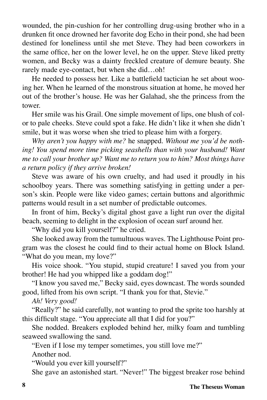wounded, the pin-cushion for her controlling drug-using brother who in a drunken fit once drowned her favorite dog Echo in their pond, she had been destined for loneliness until she met Steve. They had been coworkers in the same office, her on the lower level, he on the upper. Steve liked pretty women, and Becky was a dainty freckled creature of demure beauty. She rarely made eye-contact, but when she did…oh!

He needed to possess her. Like a battlefield tactician he set about wooing her. When he learned of the monstrous situation at home, he moved her out of the brother's house. He was her Galahad, she the princess from the tower.

Her smile was his Grail. One simple movement of lips, one blush of color to pale cheeks. Steve could spot a fake. He didn't like it when she didn't smile, but it was worse when she tried to please him with a forgery.

*Why aren't you happy with me?* he snapped. *Without me you'd be noth*ing! You spend more time picking seashells than with your husband! Want *me to call your brother up? Want me to return you to him? Most things have a return policy if they arrive broken!*

Steve was aware of his own cruelty, and had used it proudly in his schoolboy years. There was something satisfying in getting under a person's skin. People were like video games; certain buttons and algorithmic patterns would result in a set number of predictable outcomes.

In front of him, Becky's digital ghost gave a light run over the digital beach, seeming to delight in the explosion of ocean surf around her.

"Why did you kill yourself?" he cried.

She looked away from the tumultuous waves. The Lighthouse Point program was the closest he could find to their actual home on Block Island. "What do you mean, my love?"

His voice shook. "You stupid, stupid creature! I saved you from your brother! He had you whipped like a goddam dog!"

"I know you saved me," Becky said, eyes downcast. The words sounded good, lifted from his own script. "I thank you for that, Stevie."

*Ah! Very good!*

"Really?" he said carefully, not wanting to prod the sprite too harshly at this difficult stage. "You appreciate all that I did for you?"

She nodded. Breakers exploded behind her, milky foam and tumbling seaweed swallowing the sand.

"Even if I lose my temper sometimes, you still love me?" Another nod.

"Would you ever kill yourself?"

She gave an astonished start. "Never!" The biggest breaker rose behind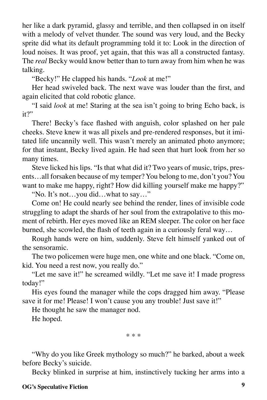her like a dark pyramid, glassy and terrible, and then collapsed in on itself with a melody of velvet thunder. The sound was very loud, and the Becky sprite did what its default programming told it to: Look in the direction of loud noises. It was proof, yet again, that this was all a constructed fantasy. The *real* Becky would know better than to turn away from him when he was talking.

"Becky!" He clapped his hands. "*Look* at me!"

Her head swiveled back. The next wave was louder than the first, and again elicited that cold robotic glance.

"I said *look* at me! Staring at the sea isn't going to bring Echo back, is it?"

There! Becky's face flashed with anguish, color splashed on her pale cheeks. Steve knew it was all pixels and pre-rendered responses, but it imitated life uncannily well. This wasn't merely an animated photo anymore; for that instant, Becky lived again. He had seen that hurt look from her so many times.

Steve licked his lips. "Is that what did it? Two years of music, trips, presents…all forsaken because of my temper? You belong to me, don't you? You want to make me happy, right? How did killing yourself make me happy?"

"No. It's not…you did…what to say…"

Come on! He could nearly see behind the render, lines of invisible code struggling to adapt the shards of her soul from the extrapolative to this moment of rebirth. Her eyes moved like an REM sleeper. The color on her face burned, she scowled, the flash of teeth again in a curiously feral way…

Rough hands were on him, suddenly. Steve felt himself yanked out of the sensoramic.

The two policemen were huge men, one white and one black. "Come on, kid. You need a rest now, you really do."

"Let me save it!" he screamed wildly. "Let me save it! I made progress today!"

His eyes found the manager while the cops dragged him away. "Please save it for me! Please! I won't cause you any trouble! Just save it!"

He thought he saw the manager nod.

He hoped.

\* \* \*

"Why do you like Greek mythology so much?" he barked, about a week before Becky's suicide.

Becky blinked in surprise at him, instinctively tucking her arms into a

#### **OG's Speculative Fiction 9**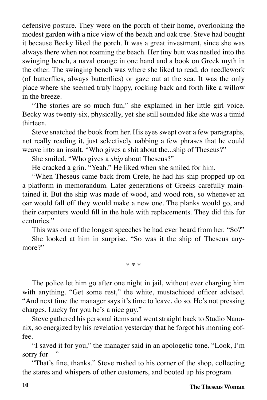defensive posture. They were on the porch of their home, overlooking the modest garden with a nice view of the beach and oak tree. Steve had bought it because Becky liked the porch. It was a great investment, since she was always there when not roaming the beach. Her tiny butt was nestled into the swinging bench, a naval orange in one hand and a book on Greek myth in the other. The swinging bench was where she liked to read, do needlework (of butterflies, always butterflies) or gaze out at the sea. It was the only place where she seemed truly happy, rocking back and forth like a willow in the breeze.

"The stories are so much fun," she explained in her little girl voice. Becky was twenty-six, physically, yet she still sounded like she was a timid thirteen.

Steve snatched the book from her. His eyes swept over a few paragraphs, not really reading it, just selectively nabbing a few phrases that he could weave into an insult. "Who gives a shit about the...ship of Theseus?"

She smiled. "Who gives a *ship* about Theseus?"

He cracked a grin. "Yeah." He liked when she smiled for him.

"When Theseus came back from Crete, he had his ship propped up on a platform in memorandum. Later generations of Greeks carefully maintained it. But the ship was made of wood, and wood rots, so whenever an oar would fall off they would make a new one. The planks would go, and their carpenters would fill in the hole with replacements. They did this for centuries."

This was one of the longest speeches he had ever heard from her. "So?"

She looked at him in surprise. "So was it the ship of Theseus anymore?"

\* \* \*

The police let him go after one night in jail, without ever charging him with anything. "Get some rest," the white, mustachioed officer advised. "And next time the manager says it's time to leave, do so. He's not pressing charges. Lucky for you he's a nice guy."

Steve gathered his personal items and went straight back to Studio Nanonix, so energized by his revelation yesterday that he forgot his morning coffee.

"I saved it for you," the manager said in an apologetic tone. "Look, I'm sorry for—"

"That's fine, thanks." Steve rushed to his corner of the shop, collecting the stares and whispers of other customers, and booted up his program.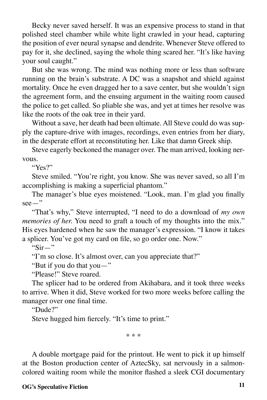Becky never saved herself. It was an expensive process to stand in that polished steel chamber while white light crawled in your head, capturing the position of ever neural synapse and dendrite. Whenever Steve offered to pay for it, she declined, saying the whole thing scared her. "It's like having your soul caught."

But she was wrong. The mind was nothing more or less than software running on the brain's substrate. A DC was a snapshot and shield against mortality. Once he even dragged her to a save center, but she wouldn't sign the agreement form, and the ensuing argument in the waiting room caused the police to get called. So pliable she was, and yet at times her resolve was like the roots of the oak tree in their yard.

Without a save, her death had been ultimate. All Steve could do was supply the capture-drive with images, recordings, even entries from her diary, in the desperate effort at reconstituting her. Like that damn Greek ship.

Steve eagerly beckoned the manager over. The man arrived, looking nervous.

"Yes?"

Steve smiled. "You're right, you know. She was never saved, so all I'm accomplishing is making a superficial phantom."

The manager's blue eyes moistened. "Look, man. I'm glad you finally see—"

"That's why," Steve interrupted, "I need to do a download of *my own memories of her.* You need to graft a touch of my thoughts into the mix." His eyes hardened when he saw the manager's expression. "I know it takes a splicer. You've got my card on file, so go order one. Now."

" $Sir -$ "

"I'm so close. It's almost over, can you appreciate that?"

"But if you do that you—"

"Please!" Steve roared.

The splicer had to be ordered from Akihabara, and it took three weeks to arrive. When it did, Steve worked for two more weeks before calling the manager over one final time.

"Dude?"

Steve hugged him fiercely. "It's time to print."

\* \* \*

A double mortgage paid for the printout. He went to pick it up himself at the Boston production center of AztecSky, sat nervously in a salmoncolored waiting room while the monitor flashed a sleek CGI documentary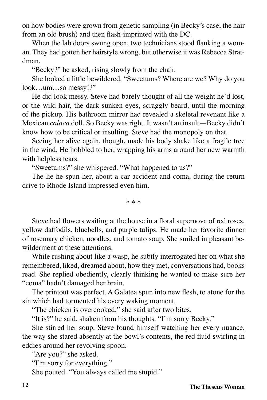on how bodies were grown from genetic sampling (in Becky's case, the hair from an old brush) and then flash-imprinted with the DC.

When the lab doors swung open, two technicians stood flanking a woman. They had gotten her hairstyle wrong, but otherwise it was Rebecca Stratdman.

"Becky?" he asked, rising slowly from the chair.

She looked a little bewildered. "Sweetums? Where are we? Why do you look…um…so messy!?"

He did look messy. Steve had barely thought of all the weight he'd lost, or the wild hair, the dark sunken eyes, scraggly beard, until the morning of the pickup. His bathroom mirror had revealed a skeletal revenant like a Mexican *calaca* doll. So Becky was right. It wasn't an insult—Becky didn't know how to be critical or insulting. Steve had the monopoly on that.

Seeing her alive again, though, made his body shake like a fragile tree in the wind. He hobbled to her, wrapping his arms around her new warmth with helpless tears.

"Sweetums?" she whispered. "What happened to us?"

The lie he spun her, about a car accident and coma, during the return drive to Rhode Island impressed even him.

\* \* \*

Steve had flowers waiting at the house in a floral supernova of red roses, yellow daffodils, bluebells, and purple tulips. He made her favorite dinner of rosemary chicken, noodles, and tomato soup. She smiled in pleasant bewilderment at these attentions.

While rushing about like a wasp, he subtly interrogated her on what she remembered, liked, dreamed about, how they met, conversations had, books read. She replied obediently, clearly thinking he wanted to make sure her "coma" hadn't damaged her brain.

The printout was perfect. A Galatea spun into new flesh, to atone for the sin which had tormented his every waking moment.

"The chicken is overcooked," she said after two bites.

"It is?" he said, shaken from his thoughts. "I'm sorry Becky."

She stirred her soup. Steve found himself watching her every nuance, the way she stared absently at the bowl's contents, the red fluid swirling in eddies around her revolving spoon.

"Are you?" she asked.

"I'm sorry for everything."

She pouted. "You always called me stupid."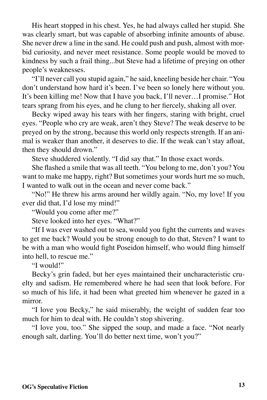His heart stopped in his chest. Yes, he had always called her stupid. She was clearly smart, but was capable of absorbing infinite amounts of abuse. She never drew a line in the sand. He could push and push, almost with morbid curiosity, and never meet resistance. Some people would be moved to kindness by such a frail thing...but Steve had a lifetime of preying on other people's weaknesses.

"I'll never call you stupid again," he said, kneeling beside her chair. "You don't understand how hard it's been. I've been so lonely here without you. It's been killing me! Now that I have you back, I'll never…I promise." Hot tears sprang from his eyes, and he clung to her fiercely, shaking all over.

Becky wiped away his tears with her fingers, staring with bright, cruel eyes. "People who cry are weak, aren't they Steve? The weak deserve to be preyed on by the strong, because this world only respects strength. If an animal is weaker than another, it deserves to die. If the weak can't stay afloat, then they should drown."

Steve shuddered violently. "I did say that." In those exact words.

She flashed a smile that was all teeth. "You belong to me, don't you? You want to make me happy, right? But sometimes your words hurt me so much, I wanted to walk out in the ocean and never come back."

"No!" He threw his arms around her wildly again. "No, my love! If you ever did that, I'd lose my mind!"

"Would you come after me?"

Steve looked into her eyes. "What?"

"If I was ever washed out to sea, would you fight the currents and waves to get me back? Would you be strong enough to do that, Steven? I want to be with a man who would fight Poseidon himself, who would fling himself into hell, to rescue me."

"I would!"

Becky's grin faded, but her eyes maintained their uncharacteristic cruelty and sadism. He remembered where he had seen that look before. For so much of his life, it had been what greeted him whenever he gazed in a mirror.

"I love you Becky," he said miserably, the weight of sudden fear too much for him to deal with. He couldn't stop shivering.

"I love you, too." She sipped the soup, and made a face. "Not nearly enough salt, darling. You'll do better next time, won't you?"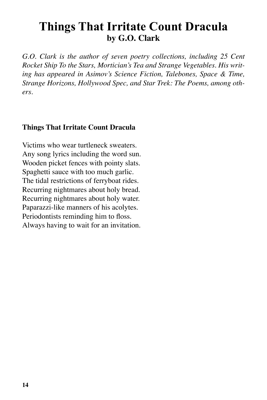## **Things That Irritate Count Dracula by G.O. Clark**

*G.O. Clark is the author of seven poetry collections, including 25 Cent Rocket Ship To the Stars, Mortician's Tea and Strange Vegetables. His writing has appeared in Asimov's Science Fiction, Talebones, Space & Time, Strange Horizons, Hollywood Spec, and Star Trek: The Poems, among others.*

#### **Things That Irritate Count Dracula**

Victims who wear turtleneck sweaters. Any song lyrics including the word sun. Wooden picket fences with pointy slats. Spaghetti sauce with too much garlic. The tidal restrictions of ferryboat rides. Recurring nightmares about holy bread. Recurring nightmares about holy water. Paparazzi-like manners of his acolytes. Periodontists reminding him to floss. Always having to wait for an invitation.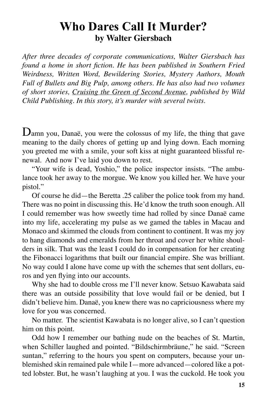## **Who Dares Call It Murder? by Walter Giersbach**

*After three decades of corporate communications, Walter Giersbach has found a home in short fiction. He has been published in Southern Fried Weirdness, Written Word, Bewildering Stories, Mystery Authors, Mouth Full of Bullets and Big Pulp, among others. He has also had two volumes of short stories, Cruising the Green of Second Avenue, published by Wild Child Publishing. In this story, it's murder with several twists.*

Damn you, Danaë, you were the colossus of my life, the thing that gave meaning to the daily chores of getting up and lying down. Each morning you greeted me with a smile, your soft kiss at night guaranteed blissful renewal. And now I've laid you down to rest.

"Your wife is dead, Yoshio," the police inspector insists. "The ambulance took her away to the morgue. We know you killed her. We have your pistol."

Of course he did—the Beretta .25 caliber the police took from my hand. There was no point in discussing this. He'd know the truth soon enough. All I could remember was how sweetly time had rolled by since Danaë came into my life, accelerating my pulse as we gamed the tables in Macau and Monaco and skimmed the clouds from continent to continent. It was my joy to hang diamonds and emeralds from her throat and cover her white shoulders in silk. That was the least I could do in compensation for her creating the Fibonacci logarithms that built our financial empire. She was brilliant. No way could I alone have come up with the schemes that sent dollars, euros and yen flying into our accounts.

Why she had to double cross me I'll never know. Setsuo Kawabata said there was an outside possibility that love would fail or be denied, but I didn't believe him. Danaë, you knew there was no capriciousness where my love for you was concerned.

No matter. The scientist Kawabata is no longer alive, so I can't question him on this point.

Odd how I remember our bathing nude on the beaches of St. Martin, when Schiller laughed and pointed. "Bildschirmbräune," he said. "Screen suntan," referring to the hours you spent on computers, because your unblemished skin remained pale while I—more advanced—colored like a potted lobster. But, he wasn't laughing at you. I was the cuckold. He took you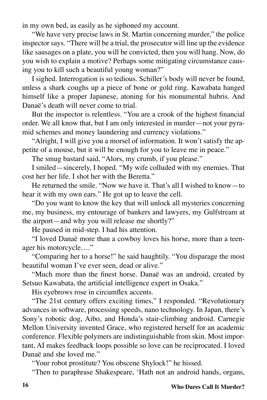in my own bed, as easily as he siphoned my account.

"We have very precise laws in St. Martin concerning murder," the police inspector says. "There will be a trial, the prosecutor will line up the evidence like sausages on a plate, you will be convicted, then you will hang. Now, do you wish to explain a motive? Perhaps some mitigating circumstance causing you to kill such a beautiful young woman?"

I sighed. Interrogation is so tedious. Schiller's body will never be found, unless a shark coughs up a piece of bone or gold ring. Kawabata hanged himself like a proper Japanese, atoning for his monumental hubris. And Danaë's death will never come to trial.

But the inspector is relentless. "You are a crook of the highest financial order. We all know that, but I am only interested in murder—not your pyramid schemes and money laundering and currency violations."

"Alright, I will give you a morsel of information. It won't satisfy the appetite of a mouse, but it will be enough for you to leave me in peace."

The smug bastard said, "Alors, my crumb, if you please."

I smiled—sincerely, I hoped. "My wife colluded with my enemies. That cost her her life. I shot her with the Beretta."

He returned the smile. "Now we have it. That's all I wished to know—to hear it with my own ears." He got up to leave the cell.

"Do you want to know the key that will unlock all mysteries concerning me, my business, my entourage of bankers and lawyers, my Gulfstream at the airport—and why you will release me shortly?"

He paused in mid-step. I had his attention.

"I loved Danaë more than a cowboy loves his horse, more than a teenager his motorcycle…."

"Comparing her to a horse!" he said haughtily. "You disparage the most beautiful woman I've ever seen, dead or alive."

"Much more than the finest horse. Danaë was an android, created by Setsuo Kawabata, the artificial intelligence expert in Osaka."

His eyebrows rose in circumflex accents.

"The 21st century offers exciting times," I responded. "Revolutionary advances in software, processing speeds, nano technology. In Japan, there's Sony's robotic dog, Aibo, and Honda's stair-climbing android. Carnegie Mellon University invented Grace, who registered herself for an academic conference. Flexible polymers are indistinguishable from skin. Most important, AI makes feedback loops possible so love can be reciprocated. I loved Danaë and she loved me."

"Your robot prostitute? You obscene Shylock!" he hissed.

"Then to paraphrase Shakespeare, 'Hath not an android hands, organs,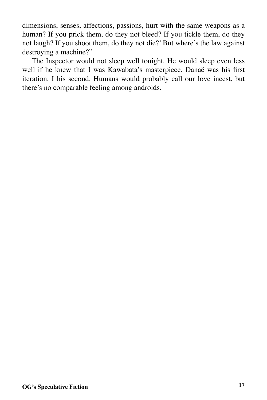dimensions, senses, affections, passions, hurt with the same weapons as a human? If you prick them, do they not bleed? If you tickle them, do they not laugh? If you shoot them, do they not die?' But where's the law against destroying a machine?"

The Inspector would not sleep well tonight. He would sleep even less well if he knew that I was Kawabata's masterpiece. Danaë was his first iteration, I his second. Humans would probably call our love incest, but there's no comparable feeling among androids.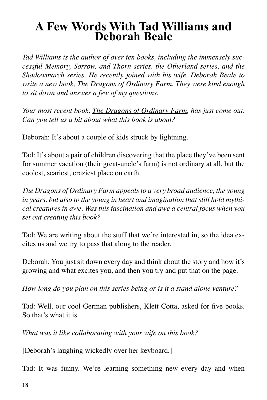# **A Few Words With Tad Williams and Deborah Beale**

*Tad Williams is the author of over ten books, including the immensely successful Memory, Sorrow, and Thorn series, the Otherland series, and the Shadowmarch series. He recently joined with his wife, Deborah Beale to write a new book, The Dragons of Ordinary Farm. They were kind enough to sit down and answer a few of my questions.*

*Your most recent book, The Dragons of Ordinary Farm, has just come out. Can you tell us a bit about what this book is about?*

Deborah: It's about a couple of kids struck by lightning.

Tad: It's about a pair of children discovering that the place they've been sent for summer vacation (their great-uncle's farm) is not ordinary at all, but the coolest, scariest, craziest place on earth.

*The Dragons of Ordinary Farm appeals to a very broad audience, the young in years, but also to the young in heart and imagination that still hold mythical creatures in awe. Was this fascination and awe a central focus when you set out creating this book?*

Tad: We are writing about the stuff that we're interested in, so the idea excites us and we try to pass that along to the reader.

Deborah: You just sit down every day and think about the story and how it's growing and what excites you, and then you try and put that on the page.

*How long do you plan on this series being or is it a stand alone venture?*

Tad: Well, our cool German publishers, Klett Cotta, asked for five books. So that's what it is.

*What was it like collaborating with your wife on this book?* 

[Deborah's laughing wickedly over her keyboard.]

Tad: It was funny. We're learning something new every day and when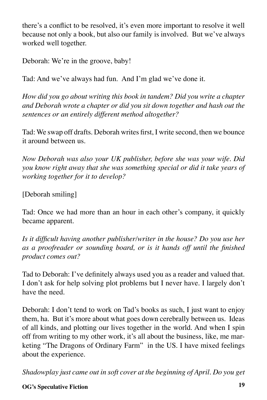there's a conflict to be resolved, it's even more important to resolve it well because not only a book, but also our family is involved. But we've always worked well together.

Deborah: We're in the groove, baby!

Tad: And we've always had fun. And I'm glad we've done it.

*How did you go about writing this book in tandem? Did you write a chapter and Deborah wrote a chapter or did you sit down together and hash out the sentences or an entirely different method altogether?*

Tad: We swap off drafts. Deborah writes first, I write second, then we bounce it around between us.

*Now Deborah was also your UK publisher, before she was your wife. Did you know right away that she was something special or did it take years of working together for it to develop?*

[Deborah smiling]

Tad: Once we had more than an hour in each other's company, it quickly became apparent.

*Is it difficult having another publisher/writer in the house? Do you use her as a proofreader or sounding board, or is it hands off until the finished product comes out?*

Tad to Deborah: I've definitely always used you as a reader and valued that. I don't ask for help solving plot problems but I never have. I largely don't have the need.

Deborah: I don't tend to work on Tad's books as such, I just want to enjoy them, ha. But it's more about what goes down cerebrally between us. Ideas of all kinds, and plotting our lives together in the world. And when I spin off from writing to my other work, it's all about the business, like, me marketing "The Dragons of Ordinary Farm" in the US. I have mixed feelings about the experience.

*Shadowplay just came out in soft cover at the beginning of April. Do you get* 

#### **OG's Speculative Fiction 19**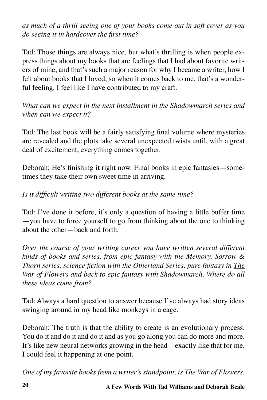*as much of a thrill seeing one of your books come out in soft cover as you do seeing it in hardcover the first time?*

Tad: Those things are always nice, but what's thrilling is when people express things about my books that are feelings that I had about favorite writers of mine, and that's such a major reason for why I became a writer, how I felt about books that I loved, so when it comes back to me, that's a wonderful feeling. I feel like I have contributed to my craft.

*What can we expect in the next installment in the Shadowmarch series and when can we expect it?*

Tad: The last book will be a fairly satisfying final volume where mysteries are revealed and the plots take several unexpected twists until, with a great deal of excitement, everything comes together.

Deborah: He's finishing it right now. Final books in epic fantasies—sometimes they take their own sweet time in arriving.

#### *Is it difficult writing two different books at the same time?*

Tad: I've done it before, it's only a question of having a little buffer time —you have to force yourself to go from thinking about the one to thinking about the other—back and forth.

*Over the course of your writing career you have written several different kinds of books and series, from epic fantasy with the Memory, Sorrow & Thorn series, science fiction with the Otherland Series, pure fantasy in The War of Flowers and back to epic fantasy with Shadowmarch. Where do all these ideas come from?*

Tad: Always a hard question to answer because I've always had story ideas swinging around in my head like monkeys in a cage.

Deborah: The truth is that the ability to create is an evolutionary process. You do it and do it and do it and as you go along you can do more and more. It's like new neural networks growing in the head—exactly like that for me, I could feel it happening at one point.

*One of my favorite books from a writer's standpoint, is The War of Flowers.*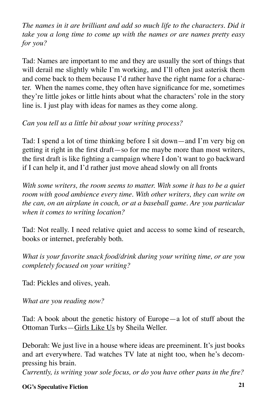*The names in it are brilliant and add so much life to the characters. Did it take you a long time to come up with the names or are names pretty easy for you?*

Tad: Names are important to me and they are usually the sort of things that will derail me slightly while I'm working, and I'll often just asterisk them and come back to them because I'd rather have the right name for a character. When the names come, they often have significance for me, sometimes they're little jokes or little hints about what the characters' role in the story line is. I just play with ideas for names as they come along.

*Can you tell us a little bit about your writing process?*

Tad: I spend a lot of time thinking before I sit down—and I'm very big on getting it right in the first draft—so for me maybe more than most writers, the first draft is like fighting a campaign where I don't want to go backward if I can help it, and I'd rather just move ahead slowly on all fronts

*With some writers, the room seems to matter. With some it has to be a quiet room with good ambience every time. With other writers, they can write on the can, on an airplane in coach, or at a baseball game. Are you particular when it comes to writing location?*

Tad: Not really. I need relative quiet and access to some kind of research, books or internet, preferably both.

*What is your favorite snack food/drink during your writing time, or are you completely focused on your writing?*

Tad: Pickles and olives, yeah.

*What are you reading now?*

Tad: A book about the genetic history of Europe—a lot of stuff about the Ottoman Turks—Girls Like Us by Sheila Weller.

Deborah: We just live in a house where ideas are preeminent. It's just books and art everywhere. Tad watches TV late at night too, when he's decompressing his brain.

*Currently, is writing your sole focus, or do you have other pans in the fire?*

#### **OG's Speculative Fiction 21**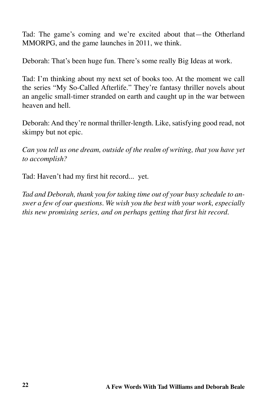Tad: The game's coming and we're excited about that—the Otherland MMORPG, and the game launches in 2011, we think.

Deborah: That's been huge fun. There's some really Big Ideas at work.

Tad: I'm thinking about my next set of books too. At the moment we call the series "My So-Called Afterlife." They're fantasy thriller novels about an angelic small-timer stranded on earth and caught up in the war between heaven and hell.

Deborah: And they're normal thriller-length. Like, satisfying good read, not skimpy but not epic.

*Can you tell us one dream, outside of the realm of writing, that you have yet to accomplish?*

Tad: Haven't had my first hit record... yet.

*Tad and Deborah, thank you for taking time out of your busy schedule to answer a few of our questions. We wish you the best with your work, especially this new promising series, and on perhaps getting that first hit record.*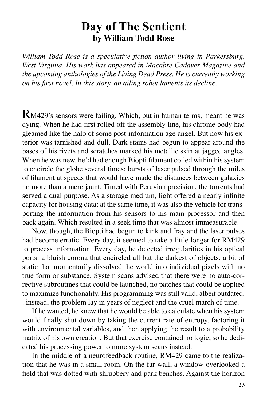### **Day of The Sentient by William Todd Rose**

*William Todd Rose is a speculative fiction author living in Parkersburg, West Virginia. His work has appeared in Macabre Cadaver Magazine and the upcoming anthologies of the Living Dead Press. He is currently working on his first novel. In this story, an ailing robot laments its decline.*

RM429's sensors were failing. Which, put in human terms, meant he was dying. When he had first rolled off the assembly line, his chrome body had gleamed like the halo of some post-information age angel. But now his exterior was tarnished and dull. Dark stains had begun to appear around the bases of his rivets and scratches marked his metallic skin at jagged angles. When he was new, he'd had enough Biopti filament coiled within his system to encircle the globe several times; bursts of laser pulsed through the miles of filament at speeds that would have made the distances between galaxies no more than a mere jaunt. Timed with Peruvian precision, the torrents had served a dual purpose. As a storage medium, light offered a nearly infinite capacity for housing data; at the same time, it was also the vehicle for transporting the information from his sensors to his main processor and then back again. Which resulted in a seek time that was almost immeasurable.

Now, though, the Biopti had begun to kink and fray and the laser pulses had become erratic. Every day, it seemed to take a little longer for RM429 to process information. Every day, he detected irregularities in his optical ports: a bluish corona that encircled all but the darkest of objects, a bit of static that momentarily dissolved the world into individual pixels with no true form or substance. System scans advised that there were no auto-corrective subroutines that could be launched, no patches that could be applied to maximize functionality. His programming was still valid, albeit outdated. ..instead, the problem lay in years of neglect and the cruel march of time.

If he wanted, he knew that he would be able to calculate when his system would finally shut down by taking the current rate of entropy, factoring it with environmental variables, and then applying the result to a probability matrix of his own creation. But that exercise contained no logic, so he dedicated his processing power to more system scans instead.

In the middle of a neurofeedback routine, RM429 came to the realization that he was in a small room. On the far wall, a window overlooked a field that was dotted with shrubbery and park benches. Against the horizon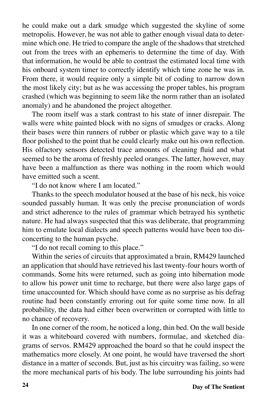he could make out a dark smudge which suggested the skyline of some metropolis. However, he was not able to gather enough visual data to determine which one. He tried to compare the angle of the shadows that stretched out from the trees with an ephemeris to determine the time of day. With that information, he would be able to contrast the estimated local time with his onboard system timer to correctly identify which time zone he was in. From there, it would require only a simple bit of coding to narrow down the most likely city; but as he was accessing the proper tables, his program crashed (which was beginning to seem like the norm rather than an isolated anomaly) and he abandoned the project altogether.

The room itself was a stark contrast to his state of inner disrepair. The walls were white painted block with no signs of smudges or cracks. Along their bases were thin runners of rubber or plastic which gave way to a tile floor polished to the point that he could clearly make out his own reflection. His olfactory sensors detected trace amounts of cleaning fluid and what seemed to be the aroma of freshly peeled oranges. The latter, however, may have been a malfunction as there was nothing in the room which would have emitted such a scent.

"I do not know where I am located."

Thanks to the speech modulator housed at the base of his neck, his voice sounded passably human. It was only the precise pronunciation of words and strict adherence to the rules of grammar which betrayed his synthetic nature. He had always suspected that this was deliberate, that programming him to emulate local dialects and speech patterns would have been too disconcerting to the human psyche.

"I do not recall coming to this place."

Within the series of circuits that approximated a brain, RM429 launched an application that should have retrieved his last twenty-four hours worth of commands. Some hits were returned, such as going into hibernation mode to allow his power unit time to recharge, but there were also large gaps of time unaccounted for. Which should have come as no surprise as his defrag routine had been constantly erroring out for quite some time now. In all probability, the data had either been overwritten or corrupted with little to no chance of recovery.

In one corner of the room, he noticed a long, thin bed. On the wall beside it was a whiteboard covered with numbers, formulae, and sketched diagrams of servos. RM429 approached the board so that he could inspect the mathematics more closely. At one point, he would have traversed the short distance in a matter of seconds. But, just as his circuitry was failing, so were the more mechanical parts of his body. The lube surrounding his joints had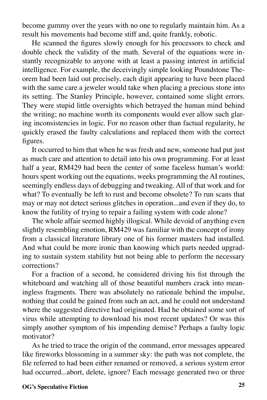become gummy over the years with no one to regularly maintain him. As a result his movements had become stiff and, quite frankly, robotic.

He scanned the figures slowly enough for his processors to check and double check the validity of the math. Several of the equations were instantly recognizable to anyone with at least a passing interest in artificial intelligence. For example, the deceivingly simple looking Poundstone Theorem had been laid out precisely, each digit appearing to have been placed with the same care a jeweler would take when placing a precious stone into its setting. The Stanley Principle, however, contained some slight errors. They were stupid little oversights which betrayed the human mind behind the writing; no machine worth its components would ever allow such glaring inconsistencies in logic. For no reason other than factual regularity, he quickly erased the faulty calculations and replaced them with the correct figures.

It occurred to him that when he was fresh and new, someone had put just as much care and attention to detail into his own programming. For at least half a year, RM429 had been the center of some faceless human's world: hours spent working out the equations, weeks programming the AI routines, seemingly endless days of debugging and tweaking. All of that work and for what? To eventually be left to rust and become obsolete? To run scans that may or may not detect serious glitches in operation...and even if they do, to know the futility of trying to repair a failing system with code alone?

The whole affair seemed highly illogical. While devoid of anything even slightly resembling emotion, RM429 was familiar with the concept of irony from a classical literature library one of his former masters had installed. And what could be more ironic than knowing which parts needed upgrading to sustain system stability but not being able to perform the necessary corrections?

For a fraction of a second, he considered driving his fist through the whiteboard and watching all of those beautiful numbers crack into meaningless fragments. There was absolutely no rationale behind the impulse, nothing that could be gained from such an act, and he could not understand where the suggested directive had originated. Had he obtained some sort of virus while attempting to download his most recent updates? Or was this simply another symptom of his impending demise? Perhaps a faulty logic motivator?

As he tried to trace the origin of the command, error messages appeared like fireworks blossoming in a summer sky: the path was not complete, the file referred to had been either renamed or removed, a serious system error had occurred...abort, delete, ignore? Each message generated two or three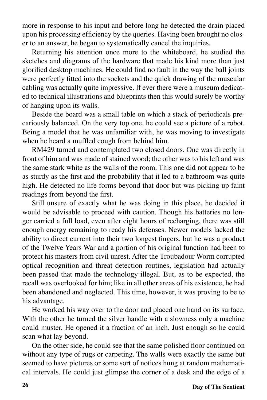more in response to his input and before long he detected the drain placed upon his processing efficiency by the queries. Having been brought no closer to an answer, he began to systematically cancel the inquiries.

Returning his attention once more to the whiteboard, he studied the sketches and diagrams of the hardware that made his kind more than just glorified desktop machines. He could find no fault in the way the ball joints were perfectly fitted into the sockets and the quick drawing of the muscular cabling was actually quite impressive. If ever there were a museum dedicated to technical illustrations and blueprints then this would surely be worthy of hanging upon its walls.

Beside the board was a small table on which a stack of periodicals precariously balanced. On the very top one, he could see a picture of a robot. Being a model that he was unfamiliar with, he was moving to investigate when he heard a muffled cough from behind him.

RM429 turned and contemplated two closed doors. One was directly in front of him and was made of stained wood; the other was to his left and was the same stark white as the walls of the room. This one did not appear to be as sturdy as the first and the probability that it led to a bathroom was quite high. He detected no life forms beyond that door but was picking up faint readings from beyond the first.

Still unsure of exactly what he was doing in this place, he decided it would be advisable to proceed with caution. Though his batteries no longer carried a full load, even after eight hours of recharging, there was still enough energy remaining to ready his defenses. Newer models lacked the ability to direct current into their two longest fingers, but he was a product of the Twelve Years War and a portion of his original function had been to protect his masters from civil unrest. After the Troubadour Worm corrupted optical recognition and threat detection routines, legislation had actually been passed that made the technology illegal. But, as to be expected, the recall was overlooked for him; like in all other areas of his existence, he had been abandoned and neglected. This time, however, it was proving to be to his advantage.

He worked his way over to the door and placed one hand on its surface. With the other he turned the silver handle with a slowness only a machine could muster. He opened it a fraction of an inch. Just enough so he could scan what lay beyond.

On the other side, he could see that the same polished floor continued on without any type of rugs or carpeting. The walls were exactly the same but seemed to have pictures or some sort of notices hung at random mathematical intervals. He could just glimpse the corner of a desk and the edge of a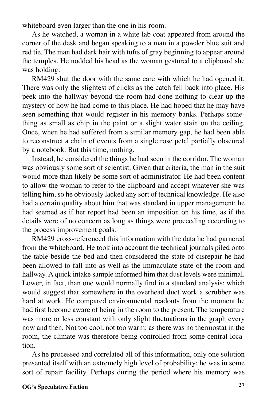whiteboard even larger than the one in his room.

As he watched, a woman in a white lab coat appeared from around the corner of the desk and began speaking to a man in a powder blue suit and red tie. The man had dark hair with tufts of gray beginning to appear around the temples. He nodded his head as the woman gestured to a clipboard she was holding.

RM429 shut the door with the same care with which he had opened it. There was only the slightest of clicks as the catch fell back into place. His peek into the hallway beyond the room had done nothing to clear up the mystery of how he had come to this place. He had hoped that he may have seen something that would register in his memory banks. Perhaps something as small as chip in the paint or a slight water stain on the ceiling. Once, when he had suffered from a similar memory gap, he had been able to reconstruct a chain of events from a single rose petal partially obscured by a notebook. But this time, nothing.

Instead, he considered the things he had seen in the corridor. The woman was obviously some sort of scientist. Given that criteria, the man in the suit would more than likely be some sort of administrator. He had been content to allow the woman to refer to the clipboard and accept whatever she was telling him, so he obviously lacked any sort of technical knowledge. He also had a certain quality about him that was standard in upper management: he had seemed as if her report had been an imposition on his time, as if the details were of no concern as long as things were proceeding according to the process improvement goals.

RM429 cross-referenced this information with the data he had garnered from the whiteboard. He took into account the technical journals piled onto the table beside the bed and then considered the state of disrepair he had been allowed to fall into as well as the immaculate state of the room and hallway. A quick intake sample informed him that dust levels were minimal. Lower, in fact, than one would normally find in a standard analysis; which would suggest that somewhere in the overhead duct work a scrubber was hard at work. He compared environmental readouts from the moment he had first become aware of being in the room to the present. The temperature was more or less constant with only slight fluctuations in the graph every now and then. Not too cool, not too warm: as there was no thermostat in the room, the climate was therefore being controlled from some central location.

As he processed and correlated all of this information, only one solution presented itself with an extremely high level of probability: he was in some sort of repair facility. Perhaps during the period where his memory was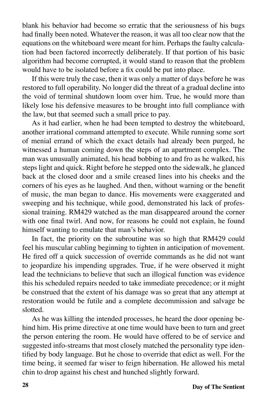blank his behavior had become so erratic that the seriousness of his bugs had finally been noted. Whatever the reason, it was all too clear now that the equations on the whiteboard were meant for him. Perhaps the faulty calculation had been factored incorrectly deliberately. If that portion of his basic algorithm had become corrupted, it would stand to reason that the problem would have to be isolated before a fix could be put into place.

If this were truly the case, then it was only a matter of days before he was restored to full operability. No longer did the threat of a gradual decline into the void of terminal shutdown loom over him. True, he would more than likely lose his defensive measures to be brought into full compliance with the law, but that seemed such a small price to pay.

As it had earlier, when he had been tempted to destroy the whiteboard, another irrational command attempted to execute. While running some sort of menial errand of which the exact details had already been purged, he witnessed a human coming down the steps of an apartment complex. The man was unusually animated, his head bobbing to and fro as he walked, his steps light and quick. Right before he stepped onto the sidewalk, he glanced back at the closed door and a smile creased lines into his cheeks and the corners of his eyes as he laughed. And then, without warning or the benefit of music, the man began to dance. His movements were exaggerated and sweeping and his technique, while good, demonstrated his lack of professional training. RM429 watched as the man disappeared around the corner with one final twirl. And now, for reasons he could not explain, he found himself wanting to emulate that man's behavior.

In fact, the priority on the subroutine was so high that RM429 could feel his muscular cabling beginning to tighten in anticipation of movement. He fired off a quick succession of override commands as he did not want to jeopardize his impending upgrades. True, if he were observed it might lead the technicians to believe that such an illogical function was evidence this his scheduled repairs needed to take immediate precedence; or it might be construed that the extent of his damage was so great that any attempt at restoration would be futile and a complete decommission and salvage be slotted.

As he was killing the intended processes, he heard the door opening behind him. His prime directive at one time would have been to turn and greet the person entering the room. He would have offered to be of service and suggested info-streams that most closely matched the personality type identified by body language. But he chose to override that edict as well. For the time being, it seemed far wiser to feign hibernation. He allowed his metal chin to drop against his chest and hunched slightly forward.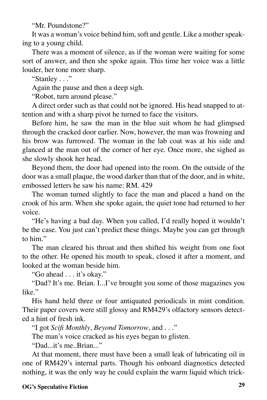"Mr. Poundstone?"

It was a woman's voice behind him, soft and gentle. Like a mother speaking to a young child.

There was a moment of silence, as if the woman were waiting for some sort of answer, and then she spoke again. This time her voice was a little louder, her tone more sharp.

"Stanley . . ."

Again the pause and then a deep sigh.

"Robot, turn around please."

A direct order such as that could not be ignored. His head snapped to attention and with a sharp pivot he turned to face the visitors.

Before him, he saw the man in the blue suit whom he had glimpsed through the cracked door earlier. Now, however, the man was frowning and his brow was furrowed. The woman in the lab coat was at his side and glanced at the man out of the corner of her eye. Once more, she sighed as she slowly shook her head.

Beyond them, the door had opened into the room. On the outside of the door was a small plaque, the wood darker than that of the door, and in white, embossed letters he saw his name: RM. 429

The woman turned slightly to face the man and placed a hand on the crook of his arm. When she spoke again, the quiet tone had returned to her voice.

"He's having a bad day. When you called, I'd really hoped it wouldn't be the case. You just can't predict these things. Maybe you can get through to him"

The man cleared his throat and then shifted his weight from one foot to the other. He opened his mouth to speak, closed it after a moment, and looked at the woman beside him.

"Go ahead . . . it's okay."

"Dad? It's me. Brian. I...I've brought you some of those magazines you like."

His hand held three or four antiquated periodicals in mint condition. Their paper covers were still glossy and RM429's olfactory sensors detected a hint of fresh ink.

"I got *Scifi Monthly*, *Beyond Tomorrow*, and . . ."

The man's voice cracked as his eyes began to glisten.

"Dad...it's me..Brian..."

At that moment, there must have been a small leak of lubricating oil in one of RM429's internal parts. Though his onboard diagnostics detected nothing, it was the only way he could explain the warm liquid which trick-

#### **OG's Speculative Fiction 29**